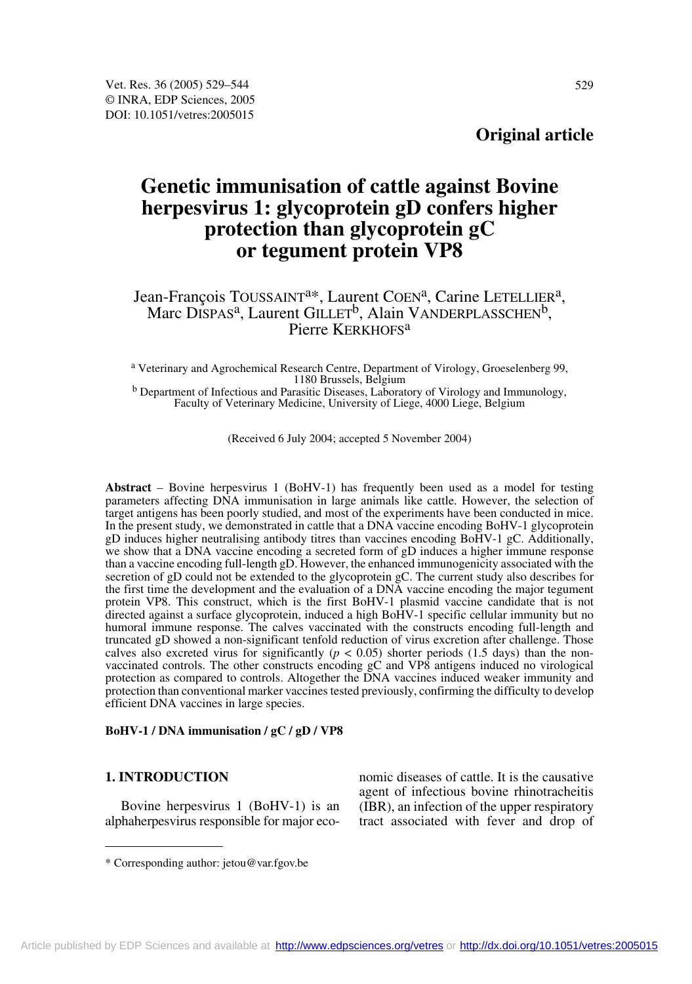# **Genetic immunisation of cattle against Bovine herpesvirus 1: glycoprotein gD confers higher protection than glycoprotein gC or tegument protein VP8**

# Jean-François TOUSSAINT<sup>a\*</sup>, Laurent COEN<sup>a</sup>, Carine LETELLIER<sup>a</sup>, Marc DISPAS<sup>a</sup>, Laurent GILLET<sup>b</sup>, Alain VANDERPLASSCHEN<sup>b</sup>, Pierre KERKHOFS<sup>a</sup>

a Veterinary and Agrochemical Research Centre, Department of Virology, Groeselenberg 99,

<sup>b</sup> Department of Infectious and Parasitic Diseases, Laboratory of Virology and Immunology, Faculty of Veterinary Medicine, University of Liege, 4000 Liege, Belgium

(Received 6 July 2004; accepted 5 November 2004)

**Abstract** – Bovine herpesvirus 1 (BoHV-1) has frequently been used as a model for testing parameters affecting DNA immunisation in large animals like cattle. However, the selection of target antigens has been poorly studied, and most of the experiments have been conducted in mice. In the present study, we demonstrated in cattle that a DNA vaccine encoding BoHV-1 glycoprotein gD induces higher neutralising antibody titres than vaccines encoding BoHV-1 gC. Additionally, we show that a DNA vaccine encoding a secreted form of gD induces a higher immune response than a vaccine encoding full-length gD. However, the enhanced immunogenicity associated with the secretion of gD could not be extended to the glycoprotein gC. The current study also describes for the first time the development and the evaluation of a DNA vaccine encoding the major tegument protein VP8. This construct, which is the first BoHV-1 plasmid vaccine candidate that is not directed against a surface glycoprotein, induced a high BoHV-1 specific cellular immunity but no humoral immune response. The calves vaccinated with the constructs encoding full-length and truncated gD showed a non-significant tenfold reduction of virus excretion after challenge. Those calves also excreted virus for significantly ( $p < 0.05$ ) shorter periods (1.5 days) than the nonvaccinated controls. The other constructs encoding gC and VP8 antigens induced no virological protection as compared to controls. Altogether the DNA vaccines induced weaker immunity and protection than conventional marker vaccines tested previously, confirming the difficulty to develop efficient DNA vaccines in large species.

#### **BoHV-1 / DNA immunisation / gC / gD / VP8**

#### **1. INTRODUCTION**

Bovine herpesvirus 1 (BoHV-1) is an alphaherpesvirus responsible for major eco-

nomic diseases of cattle. It is the causative agent of infectious bovine rhinotracheitis (IBR), an infection of the upper respiratory tract associated with fever and drop of

<sup>\*</sup> Corresponding author: jetou@var.fgov.be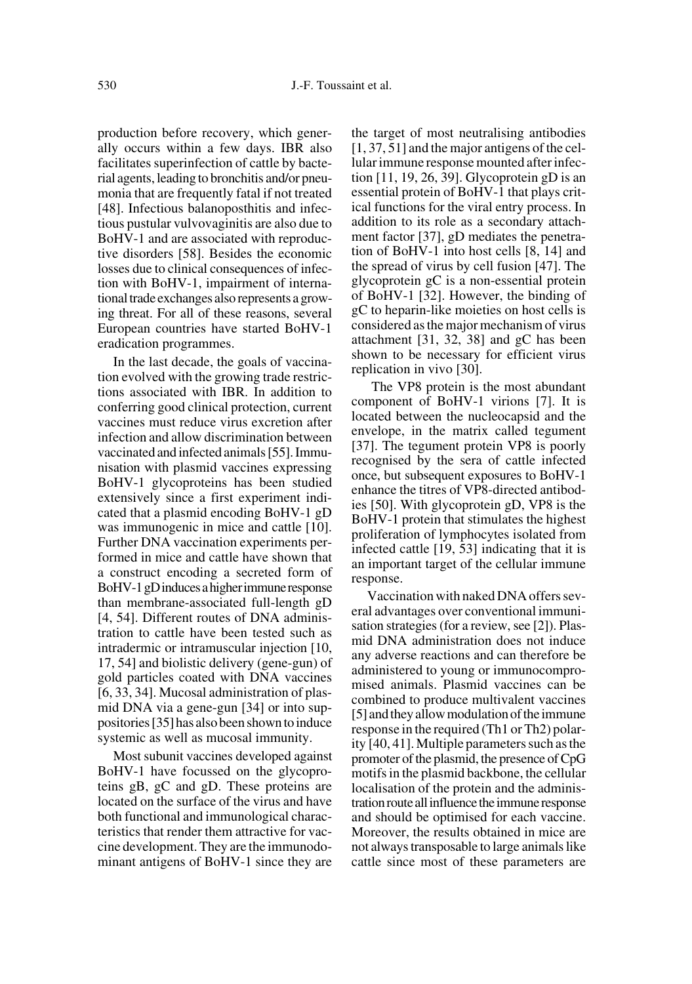production before recovery, which generally occurs within a few days. IBR also facilitates superinfection of cattle by bacterial agents, leading to bronchitis and/or pneumonia that are frequently fatal if not treated [48]. Infectious balanoposthitis and infectious pustular vulvovaginitis are also due to BoHV-1 and are associated with reproductive disorders [58]. Besides the economic losses due to clinical consequences of infection with BoHV-1, impairment of international trade exchanges also represents a growing threat. For all of these reasons, several European countries have started BoHV-1 eradication programmes.

In the last decade, the goals of vaccination evolved with the growing trade restrictions associated with IBR. In addition to conferring good clinical protection, current vaccines must reduce virus excretion after infection and allow discrimination between vaccinated and infected animals [55]. Immunisation with plasmid vaccines expressing BoHV-1 glycoproteins has been studied extensively since a first experiment indicated that a plasmid encoding BoHV-1 gD was immunogenic in mice and cattle [10]. Further DNA vaccination experiments performed in mice and cattle have shown that a construct encoding a secreted form of BoHV-1 gD induces a higher immune response than membrane-associated full-length gD [4, 54]. Different routes of DNA administration to cattle have been tested such as intradermic or intramuscular injection [10, 17, 54] and biolistic delivery (gene-gun) of gold particles coated with DNA vaccines [6, 33, 34]. Mucosal administration of plasmid DNA via a gene-gun [34] or into suppositories [35] has also been shown to induce systemic as well as mucosal immunity.

Most subunit vaccines developed against BoHV-1 have focussed on the glycoproteins gB, gC and gD. These proteins are located on the surface of the virus and have both functional and immunological characteristics that render them attractive for vaccine development. They are the immunodominant antigens of BoHV-1 since they are the target of most neutralising antibodies [1, 37, 51] and the major antigens of the cellular immune response mounted after infection [11, 19, 26, 39]. Glycoprotein gD is an essential protein of BoHV-1 that plays critical functions for the viral entry process. In addition to its role as a secondary attachment factor [37], gD mediates the penetration of BoHV-1 into host cells [8, 14] and the spread of virus by cell fusion [47]. The glycoprotein gC is a non-essential protein of BoHV-1 [32]. However, the binding of gC to heparin-like moieties on host cells is considered as the major mechanism of virus attachment [31, 32, 38] and gC has been shown to be necessary for efficient virus replication in vivo [30].

 The VP8 protein is the most abundant component of BoHV-1 virions [7]. It is located between the nucleocapsid and the envelope, in the matrix called tegument [37]. The tegument protein VP8 is poorly recognised by the sera of cattle infected once, but subsequent exposures to BoHV-1 enhance the titres of VP8-directed antibodies [50]. With glycoprotein gD, VP8 is the BoHV-1 protein that stimulates the highest proliferation of lymphocytes isolated from infected cattle [19, 53] indicating that it is an important target of the cellular immune response.

Vaccination with naked DNA offers several advantages over conventional immunisation strategies (for a review, see [2]). Plasmid DNA administration does not induce any adverse reactions and can therefore be administered to young or immunocompromised animals. Plasmid vaccines can be combined to produce multivalent vaccines [5] and they allow modulation of the immune response in the required (Th1 or Th2) polarity [40, 41]. Multiple parameters such as the promoter of the plasmid, the presence of CpG motifs in the plasmid backbone, the cellular localisation of the protein and the administration route all influence the immune response and should be optimised for each vaccine. Moreover, the results obtained in mice are not always transposable to large animals like cattle since most of these parameters are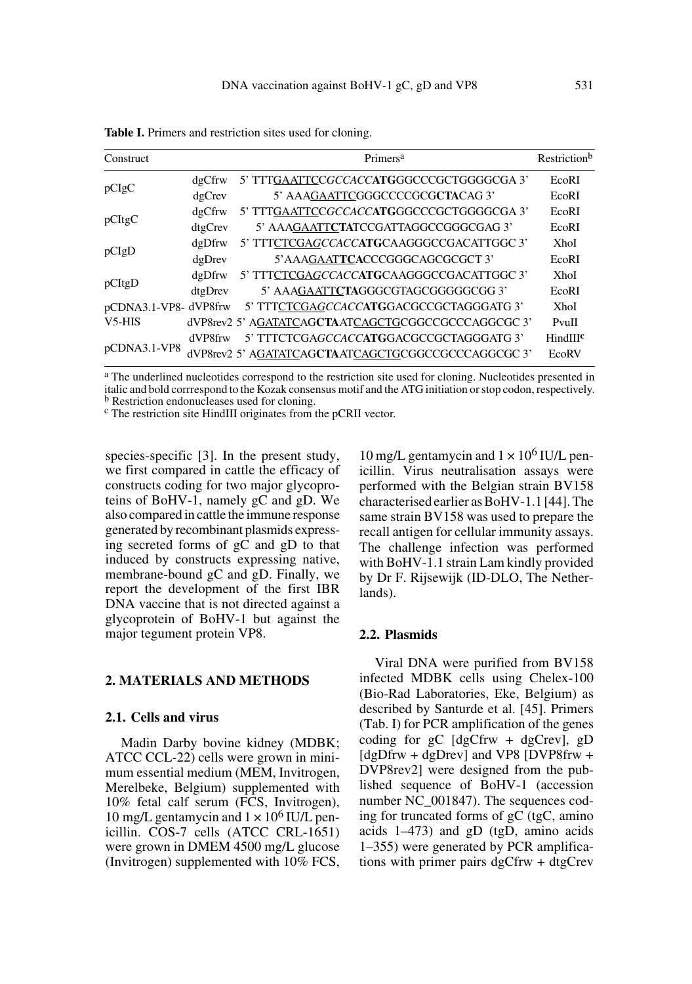| Construct             |         | Primers <sup>a</sup>                               | Restriction <sup>b</sup> |
|-----------------------|---------|----------------------------------------------------|--------------------------|
| pCIgC                 | dgCfrw  | 5' TTTGAATTCCGCCACC <b>ATG</b> GGCCCGCTGGGGCGA 3'  | EcoRI                    |
|                       | dgCrev  | 5' AAAGAATTCGGGCCCCGCGCTACAG 3'                    | EcoRI                    |
| pCItgC                | dgCfrw  | 5' TTTGAATTCCGCCACCATGGGCCCGCTGGGGCGA 3'           | EcoRI                    |
|                       | dtgCrev | 5' AAAGAATTCTATCCGATTAGGCCGGGCGAG 3'               | EcoRI                    |
| pCIgD                 | dgDfrw  | 5' TTTCTCGAGCCACCATGCAAGGGCCGACATTGGC 3'           | XhoI                     |
|                       | dgDrev  | 5' AAAGAATTCACCCGGGCAGCGCGCT 3'                    | EcoRI                    |
| pCItgD                | dgDfrw  | 5' TTTCTCGAGCCACCATGCAAGGGCCGACATTGGC 3'           | <b>XhoI</b>              |
|                       | dtgDrev | 5' AAAGAATTCTAGGGCGTAGCGGGGGCGG3'                  | EcoRI                    |
| pCDNA3.1-VP8- dVP8frw |         | 5' TTTCTCGAGCCACCATGGACGCCGCTAGGGATG 3'            | XhoI                     |
| V <sub>5</sub> -HIS   |         | dVP8rev2 5' AGATATCAGCTAATCAGCTGCGGCCGCCCAGGCGC 3' | PvuII                    |
| pCDNA3.1-VP8          | dVP8frw | 5' TTTCTCGAGCCACCATGGACGCCGCTAGGGATG 3'            | HindIIIc                 |
|                       |         | dVP8rev2 5' AGATATCAGCTAATCAGCTGCGGCCGCCCAGGCGC 3' | EcoRV                    |

**Table I.** Primers and restriction sites used for cloning.

<sup>a</sup> The underlined nucleotides correspond to the restriction site used for cloning. Nucleotides presented in italic and bold corrrespond to the Kozak consensus motif and the ATG initiation or stop codon, respectively.<br><sup>b</sup> Restriction endonucleases used for cloning.<br><sup>c</sup> The restriction site HindIII originates from the pCRII vector

species-specific [3]. In the present study, we first compared in cattle the efficacy of constructs coding for two major glycoproteins of BoHV-1, namely gC and gD. We also compared in cattle the immune response generated by recombinant plasmids expressing secreted forms of gC and gD to that induced by constructs expressing native, membrane-bound gC and gD. Finally, we report the development of the first IBR DNA vaccine that is not directed against a glycoprotein of BoHV-1 but against the major tegument protein VP8.

# **2. MATERIALS AND METHODS**

# **2.1. Cells and virus**

Madin Darby bovine kidney (MDBK; ATCC CCL-22) cells were grown in minimum essential medium (MEM, Invitrogen, Merelbeke, Belgium) supplemented with 10% fetal calf serum (FCS, Invitrogen), 10 mg/L gentamycin and  $1 \times 10^6$  IU/L penicillin. COS-7 cells (ATCC CRL-1651) were grown in DMEM 4500 mg/L glucose (Invitrogen) supplemented with 10% FCS, 10 mg/L gentamycin and  $1 \times 10^6$  IU/L penicillin. Virus neutralisation assays were performed with the Belgian strain BV158 characterised earlier as BoHV-1.1 [44]. The same strain BV158 was used to prepare the recall antigen for cellular immunity assays. The challenge infection was performed with BoHV-1.1 strain Lam kindly provided by Dr F. Rijsewijk (ID-DLO, The Netherlands).

# **2.2. Plasmids**

Viral DNA were purified from BV158 infected MDBK cells using Chelex-100 (Bio-Rad Laboratories, Eke, Belgium) as described by Santurde et al. [45]. Primers (Tab. I) for PCR amplification of the genes coding for  $gC$  [dgCfrw + dgCrev],  $gD$ [dgDfrw + dgDrev] and VP8 [DVP8frw + DVP8rev2] were designed from the published sequence of BoHV-1 (accession number NC\_001847). The sequences coding for truncated forms of gC (tgC, amino acids 1–473) and gD (tgD, amino acids 1–355) were generated by PCR amplifications with primer pairs dgCfrw + dtgCrev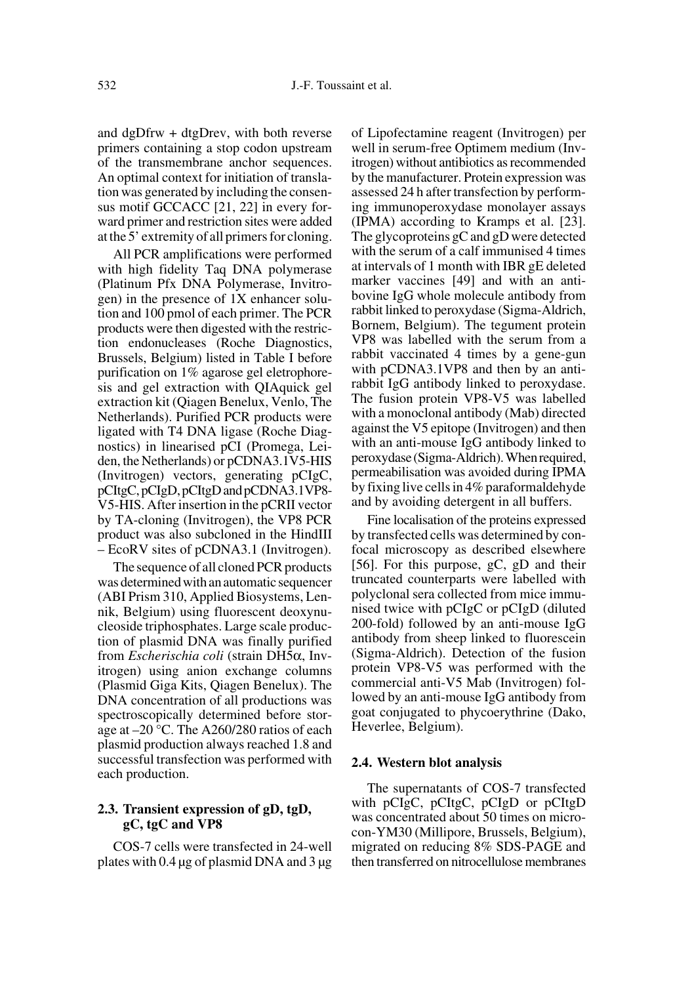and dgDfrw + dtgDrev, with both reverse primers containing a stop codon upstream of the transmembrane anchor sequences. An optimal context for initiation of translation was generated by including the consensus motif GCCACC [21, 22] in every forward primer and restriction sites were added at the 5' extremity of all primers for cloning.

All PCR amplifications were performed with high fidelity Taq DNA polymerase (Platinum Pfx DNA Polymerase, Invitrogen) in the presence of 1X enhancer solution and 100 pmol of each primer. The PCR products were then digested with the restriction endonucleases (Roche Diagnostics, Brussels, Belgium) listed in Table I before purification on 1% agarose gel eletrophoresis and gel extraction with QIAquick gel extraction kit (Qiagen Benelux, Venlo, The Netherlands). Purified PCR products were ligated with T4 DNA ligase (Roche Diagnostics) in linearised pCI (Promega, Leiden, the Netherlands) or pCDNA3.1V5-HIS (Invitrogen) vectors, generating pCIgC, pCItgC, pCIgD, pCItgD and pCDNA3.1VP8- V5-HIS. After insertion in the pCRII vector by TA-cloning (Invitrogen), the VP8 PCR product was also subcloned in the HindIII – EcoRV sites of pCDNA3.1 (Invitrogen).

The sequence of all cloned PCR products was determined with an automatic sequencer (ABI Prism 310, Applied Biosystems, Lennik, Belgium) using fluorescent deoxynucleoside triphosphates. Large scale production of plasmid DNA was finally purified from *Escherischia coli* (strain DH5α, Invitrogen) using anion exchange columns (Plasmid Giga Kits, Qiagen Benelux). The DNA concentration of all productions was spectroscopically determined before storage at –20 °C. The A260/280 ratios of each plasmid production always reached 1.8 and successful transfection was performed with each production.

# **2.3. Transient expression of gD, tgD, gC, tgC and VP8**

COS-7 cells were transfected in 24-well plates with 0.4 µg of plasmid DNA and 3 µg of Lipofectamine reagent (Invitrogen) per well in serum-free Optimem medium (Invitrogen) without antibiotics as recommended by the manufacturer. Protein expression was assessed 24 h after transfection by performing immunoperoxydase monolayer assays (IPMA) according to Kramps et al. [23]. The glycoproteins gC and gD were detected with the serum of a calf immunised 4 times at intervals of 1 month with IBR gE deleted marker vaccines [49] and with an antibovine IgG whole molecule antibody from rabbit linked to peroxydase (Sigma-Aldrich, Bornem, Belgium). The tegument protein VP8 was labelled with the serum from a rabbit vaccinated 4 times by a gene-gun with pCDNA3.1VP8 and then by an antirabbit IgG antibody linked to peroxydase. The fusion protein VP8-V5 was labelled with a monoclonal antibody (Mab) directed against the V5 epitope (Invitrogen) and then with an anti-mouse IgG antibody linked to peroxydase (Sigma-Aldrich). When required, permeabilisation was avoided during IPMA by fixing live cells in 4% paraformaldehyde and by avoiding detergent in all buffers.

Fine localisation of the proteins expressed by transfected cells was determined by confocal microscopy as described elsewhere [56]. For this purpose, gC, gD and their truncated counterparts were labelled with polyclonal sera collected from mice immunised twice with pCIgC or pCIgD (diluted 200-fold) followed by an anti-mouse IgG antibody from sheep linked to fluorescein (Sigma-Aldrich). Detection of the fusion protein VP8-V5 was performed with the commercial anti-V5 Mab (Invitrogen) followed by an anti-mouse IgG antibody from goat conjugated to phycoerythrine (Dako, Heverlee, Belgium).

#### **2.4. Western blot analysis**

The supernatants of COS-7 transfected with pCIgC, pCItgC, pCIgD or pCItgD was concentrated about 50 times on microcon-YM30 (Millipore, Brussels, Belgium), migrated on reducing 8% SDS-PAGE and then transferred on nitrocellulose membranes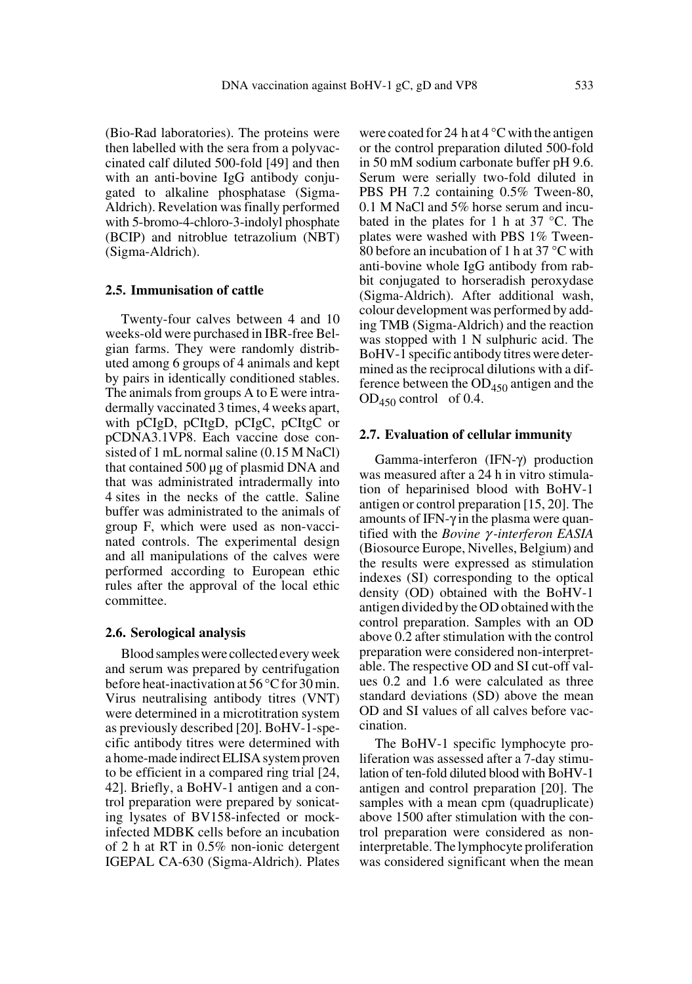(Bio-Rad laboratories). The proteins were then labelled with the sera from a polyvaccinated calf diluted 500-fold [49] and then with an anti-bovine IgG antibody conjugated to alkaline phosphatase (Sigma-Aldrich). Revelation was finally performed with 5-bromo-4-chloro-3-indolyl phosphate (BCIP) and nitroblue tetrazolium (NBT) (Sigma-Aldrich).

# **2.5. Immunisation of cattle**

Twenty-four calves between 4 and 10 weeks-old were purchased in IBR-free Belgian farms. They were randomly distributed among 6 groups of 4 animals and kept by pairs in identically conditioned stables. The animals from groups A to E were intradermally vaccinated 3 times, 4 weeks apart, with pCIgD, pCItgD, pCIgC, pCItgC or pCDNA3.1VP8. Each vaccine dose consisted of 1 mL normal saline (0.15 M NaCl) that contained 500 µg of plasmid DNA and that was administrated intradermally into 4 sites in the necks of the cattle. Saline buffer was administrated to the animals of group F, which were used as non-vaccinated controls. The experimental design and all manipulations of the calves were performed according to European ethic rules after the approval of the local ethic committee.

#### **2.6. Serological analysis**

Blood samples were collected every week and serum was prepared by centrifugation before heat-inactivation at 56 °C for 30 min. Virus neutralising antibody titres (VNT) were determined in a microtitration system as previously described [20]. BoHV-1-specific antibody titres were determined with a home-made indirect ELISA system proven to be efficient in a compared ring trial [24, 42]. Briefly, a BoHV-1 antigen and a control preparation were prepared by sonicating lysates of BV158-infected or mockinfected MDBK cells before an incubation of 2 h at RT in 0.5% non-ionic detergent IGEPAL CA-630 (Sigma-Aldrich). Plates

were coated for 24 h at  $4^{\circ}$ C with the antigen or the control preparation diluted 500-fold in 50 mM sodium carbonate buffer pH 9.6. Serum were serially two-fold diluted in PBS PH 7.2 containing 0.5% Tween-80, 0.1 M NaCl and 5% horse serum and incubated in the plates for 1 h at 37 °C. The plates were washed with PBS 1% Tween-80 before an incubation of 1 h at 37 °C with anti-bovine whole IgG antibody from rabbit conjugated to horseradish peroxydase (Sigma-Aldrich). After additional wash, colour development was performed by adding TMB (Sigma-Aldrich) and the reaction was stopped with 1 N sulphuric acid. The BoHV-1 specific antibody titres were determined as the reciprocal dilutions with a difference between the  $OD_{450}$  antigen and the  $OD_{450}$  control of 0.4.

#### **2.7. Evaluation of cellular immunity**

Gamma-interferon (IFN-γ) production was measured after a 24 h in vitro stimulation of heparinised blood with BoHV-1 antigen or control preparation [15, 20]. The amounts of IFN-γ in the plasma were quantified with the *Bovine* γ *-interferon EASIA* (Biosource Europe, Nivelles, Belgium) and the results were expressed as stimulation indexes (SI) corresponding to the optical density (OD) obtained with the BoHV-1 antigen divided by the OD obtained with the control preparation. Samples with an OD above 0.2 after stimulation with the control preparation were considered non-interpretable. The respective OD and SI cut-off values 0.2 and 1.6 were calculated as three standard deviations (SD) above the mean OD and SI values of all calves before vaccination.

The BoHV-1 specific lymphocyte proliferation was assessed after a 7-day stimulation of ten-fold diluted blood with BoHV-1 antigen and control preparation [20]. The samples with a mean cpm (quadruplicate) above 1500 after stimulation with the control preparation were considered as noninterpretable. The lymphocyte proliferation was considered significant when the mean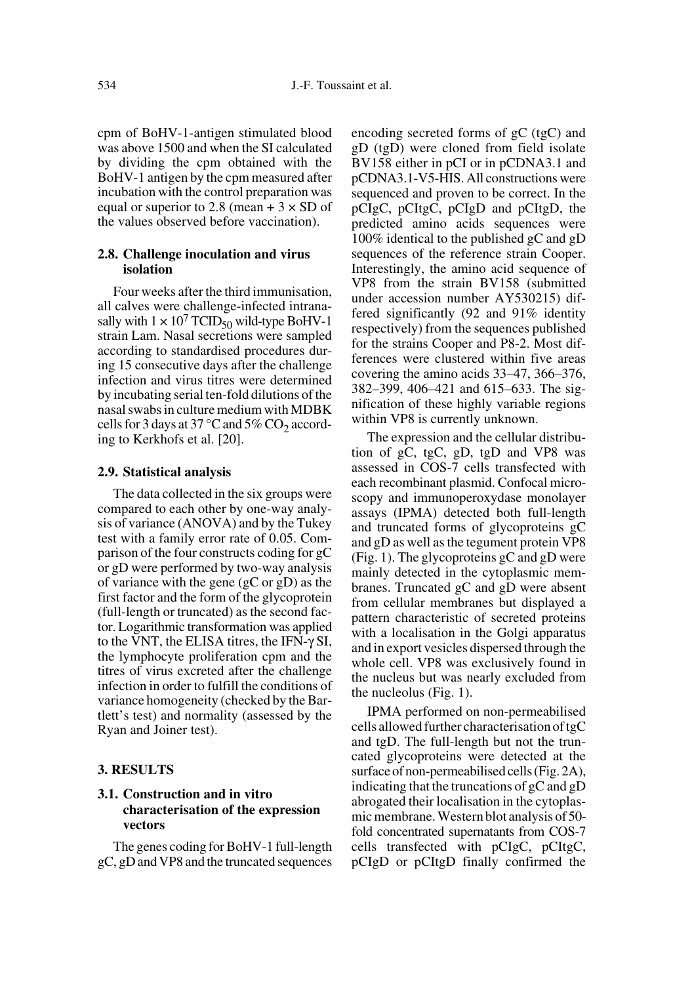cpm of BoHV-1-antigen stimulated blood was above 1500 and when the SI calculated by dividing the cpm obtained with the BoHV-1 antigen by the cpm measured after incubation with the control preparation was equal or superior to 2.8 (mean  $+3 \times SD$  of the values observed before vaccination).

# **2.8. Challenge inoculation and virus isolation**

Four weeks after the third immunisation, all calves were challenge-infected intranasally with  $1 \times 10^7$  TCID<sub>50</sub> wild-type BoHV-1 strain Lam. Nasal secretions were sampled according to standardised procedures during 15 consecutive days after the challenge infection and virus titres were determined by incubating serial ten-fold dilutions of the nasal swabs in culture medium with MDBK cells for 3 days at 37  $\degree$ C and 5% CO<sub>2</sub> according to Kerkhofs et al. [20].

#### **2.9. Statistical analysis**

The data collected in the six groups were compared to each other by one-way analysis of variance (ANOVA) and by the Tukey test with a family error rate of 0.05. Comparison of the four constructs coding for gC or gD were performed by two-way analysis of variance with the gene (gC or gD) as the first factor and the form of the glycoprotein (full-length or truncated) as the second factor. Logarithmic transformation was applied to the VNT, the ELISA titres, the IFN-γ SI, the lymphocyte proliferation cpm and the titres of virus excreted after the challenge infection in order to fulfill the conditions of variance homogeneity (checked by the Bartlett's test) and normality (assessed by the Ryan and Joiner test).

#### **3. RESULTS**

# **3.1. Construction and in vitro characterisation of the expression vectors**

The genes coding for BoHV-1 full-length gC, gD and VP8 and the truncated sequences encoding secreted forms of gC (tgC) and gD (tgD) were cloned from field isolate BV158 either in pCI or in pCDNA3.1 and pCDNA3.1-V5-HIS. All constructions were sequenced and proven to be correct. In the pCIgC, pCItgC, pCIgD and pCItgD, the predicted amino acids sequences were 100% identical to the published gC and gD sequences of the reference strain Cooper. Interestingly, the amino acid sequence of VP8 from the strain BV158 (submitted under accession number AY530215) differed significantly (92 and 91% identity respectively) from the sequences published for the strains Cooper and P8-2. Most differences were clustered within five areas covering the amino acids 33–47, 366–376, 382–399, 406–421 and 615–633. The signification of these highly variable regions within VP8 is currently unknown.

The expression and the cellular distribution of gC, tgC, gD, tgD and VP8 was assessed in COS-7 cells transfected with each recombinant plasmid. Confocal microscopy and immunoperoxydase monolayer assays (IPMA) detected both full-length and truncated forms of glycoproteins gC and gD as well as the tegument protein VP8 (Fig. 1). The glycoproteins gC and gD were mainly detected in the cytoplasmic membranes. Truncated gC and gD were absent from cellular membranes but displayed a pattern characteristic of secreted proteins with a localisation in the Golgi apparatus and in export vesicles dispersed through the whole cell. VP8 was exclusively found in the nucleus but was nearly excluded from the nucleolus (Fig. 1).

IPMA performed on non-permeabilised cells allowed further characterisation of tgC and tgD. The full-length but not the truncated glycoproteins were detected at the surface of non-permeabilised cells (Fig. 2A), indicating that the truncations of gC and gD abrogated their localisation in the cytoplasmic membrane. Western blot analysis of 50 fold concentrated supernatants from COS-7 cells transfected with pCIgC, pCItgC, pCIgD or pCItgD finally confirmed the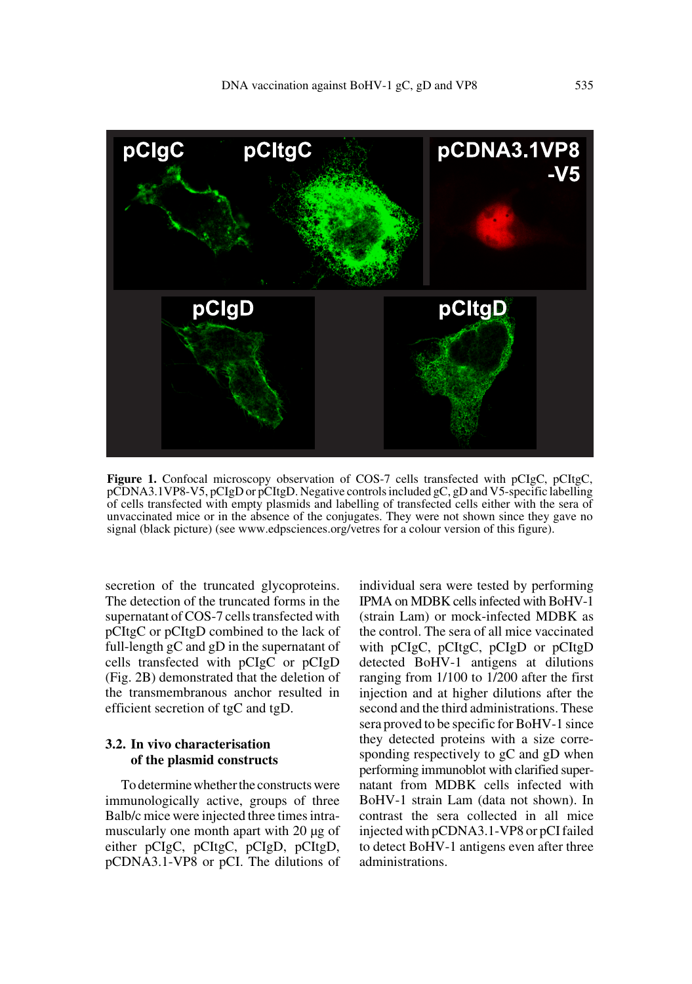

**Figure 1.** Confocal microscopy observation of COS-7 cells transfected with pCIgC, pCItgC, pCDNA3.1VP8-V5, pCIgD or pCItgD. Negative controls included gC, gD and V5-specific labelling of cells transfected with empty plasmids and labelling of transfected cells either with the sera of unvaccinated mice or in the absence of the conjugates. They were not shown since they gave no signal (black picture) (see www.edpsciences.org/vetres for a colour version of this figure).

secretion of the truncated glycoproteins. The detection of the truncated forms in the supernatant of COS-7 cells transfected with pCItgC or pCItgD combined to the lack of full-length gC and gD in the supernatant of cells transfected with pCIgC or pCIgD (Fig. 2B) demonstrated that the deletion of the transmembranous anchor resulted in efficient secretion of tgC and tgD.

# **3.2. In vivo characterisation of the plasmid constructs**

To determine whether the constructs were immunologically active, groups of three Balb/c mice were injected three times intramuscularly one month apart with 20 µg of either pCIgC, pCItgC, pCIgD, pCItgD, pCDNA3.1-VP8 or pCI. The dilutions of individual sera were tested by performing IPMA on MDBK cells infected with BoHV-1 (strain Lam) or mock-infected MDBK as the control. The sera of all mice vaccinated with pCIgC, pCItgC, pCIgD or pCItgD detected BoHV-1 antigens at dilutions ranging from 1/100 to 1/200 after the first injection and at higher dilutions after the second and the third administrations. These sera proved to be specific for BoHV-1 since they detected proteins with a size corresponding respectively to gC and gD when performing immunoblot with clarified supernatant from MDBK cells infected with BoHV-1 strain Lam (data not shown). In contrast the sera collected in all mice injected with pCDNA3.1-VP8 or pCI failed to detect BoHV-1 antigens even after three administrations.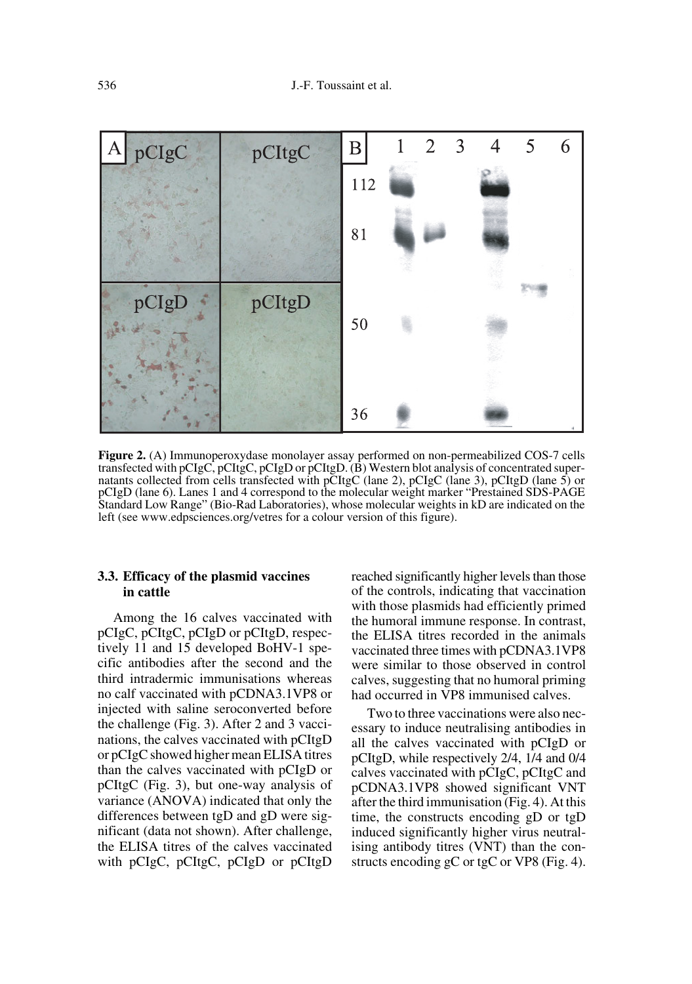

**Figure 2.** (A) Immunoperoxydase monolayer assay performed on non-permeabilized COS-7 cells transfected with pCIgC, pCItgC, pCIgD or pCItgD. (B) Western blot analysis of concentrated supernatants collected from cells transfected with pCItgC (lane 2), pCIgC (lane 3), pCItgD (lane 5) or pCIgD (lane 6). Lanes 1 and 4 correspond to the molecular weight marker "Prestained SDS-PAGE Standard Low Range" (Bio-Rad Laboratories), whose molecular weights in kD are indicated on the left (see www.edpsciences.org/vetres for a colour version of this figure).

# **3.3. Efficacy of the plasmid vaccines in cattle**

Among the 16 calves vaccinated with pCIgC, pCItgC, pCIgD or pCItgD, respectively 11 and 15 developed BoHV-1 specific antibodies after the second and the third intradermic immunisations whereas no calf vaccinated with pCDNA3.1VP8 or injected with saline seroconverted before the challenge (Fig. 3). After 2 and 3 vaccinations, the calves vaccinated with pCItgD or pCIgC showed higher mean ELISA titres than the calves vaccinated with pCIgD or pCItgC (Fig. 3), but one-way analysis of variance (ANOVA) indicated that only the differences between tgD and gD were significant (data not shown). After challenge, the ELISA titres of the calves vaccinated with pCIgC, pCItgC, pCIgD or pCItgD

reached significantly higher levels than those of the controls, indicating that vaccination with those plasmids had efficiently primed the humoral immune response. In contrast, the ELISA titres recorded in the animals vaccinated three times with pCDNA3.1VP8 were similar to those observed in control calves, suggesting that no humoral priming had occurred in VP8 immunised calves.

Two to three vaccinations were also necessary to induce neutralising antibodies in all the calves vaccinated with pCIgD or pCItgD, while respectively 2/4, 1/4 and 0/4 calves vaccinated with pCIgC, pCItgC and pCDNA3.1VP8 showed significant VNT after the third immunisation (Fig. 4). At this time, the constructs encoding gD or tgD induced significantly higher virus neutralising antibody titres (VNT) than the constructs encoding gC or tgC or VP8 (Fig. 4).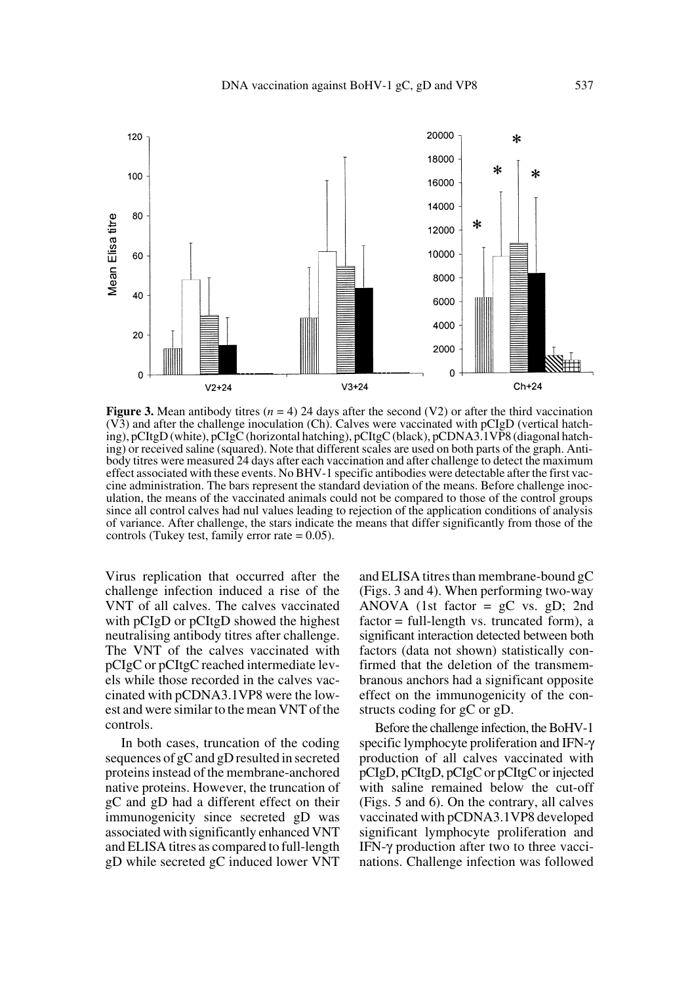

**Figure 3.** Mean antibody titres  $(n = 4)$  24 days after the second  $(V2)$  or after the third vaccination (V3) and after the challenge inoculation (Ch). Calves were vaccinated with pCIgD (vertical hatching), pCItgD (white), pCIgC (horizontal hatching), pCItgC (black), pCDNA3.1VP8 (diagonal hatching) or received saline (squared). Note that different scales are used on both parts of the graph. Antibody titres were measured 24 days after each vaccination and after challenge to detect the maximum effect associated with these events. No BHV-1 specific antibodies were detectable after the first vaccine administration. The bars represent the standard deviation of the means. Before challenge inoculation, the means of the vaccinated animals could not be compared to those of the control groups since all control calves had nul values leading to rejection of the application conditions of analysis of variance. After challenge, the stars indicate the means that differ significantly from those of the controls (Tukey test, family error rate  $= 0.05$ ).

Virus replication that occurred after the challenge infection induced a rise of the VNT of all calves. The calves vaccinated with pCIgD or pCItgD showed the highest neutralising antibody titres after challenge. The VNT of the calves vaccinated with pCIgC or pCItgC reached intermediate levels while those recorded in the calves vaccinated with pCDNA3.1VP8 were the lowest and were similar to the mean VNT of the controls.

In both cases, truncation of the coding sequences of gC and gD resulted in secreted proteins instead of the membrane-anchored native proteins. However, the truncation of gC and gD had a different effect on their immunogenicity since secreted gD was associated with significantly enhanced VNT and ELISA titres as compared to full-length gD while secreted gC induced lower VNT

and ELISA titres than membrane-bound gC (Figs. 3 and 4). When performing two-way ANOVA (1st factor  $= gC$  vs.  $gD$ ; 2nd factor = full-length vs. truncated form), a significant interaction detected between both factors (data not shown) statistically confirmed that the deletion of the transmembranous anchors had a significant opposite effect on the immunogenicity of the constructs coding for gC or gD.

Before the challenge infection, the BoHV-1 specific lymphocyte proliferation and IFN-γ production of all calves vaccinated with pCIgD, pCItgD, pCIgC or pCItgC or injected with saline remained below the cut-off (Figs. 5 and 6). On the contrary, all calves vaccinated with pCDNA3.1VP8 developed significant lymphocyte proliferation and IFN-γ production after two to three vaccinations. Challenge infection was followed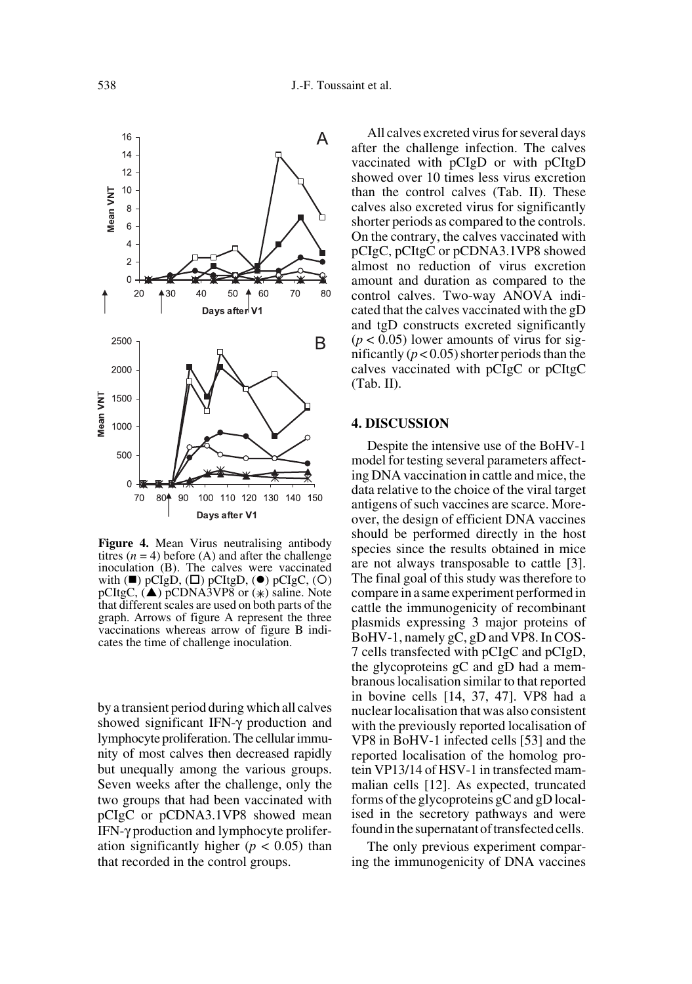

**Figure 4.** Mean Virus neutralising antibody titres  $(n = 4)$  before (A) and after the challenge inoculation (B). The calves were vaccinated with  $(\blacksquare)$  pCIgD,  $(\square)$  pCItgD,  $(\lozenge)$  pCIgC,  $(O)$ pCItgC,  $(\triangle)$  pCDNA3VP8 or  $(*)$  saline. Note that different scales are used on both parts of the graph. Arrows of figure A represent the three vaccinations whereas arrow of figure B indicates the time of challenge inoculation.

by a transient period during which all calves showed significant IFN-γ production and lymphocyte proliferation. The cellular immunity of most calves then decreased rapidly but unequally among the various groups. Seven weeks after the challenge, only the two groups that had been vaccinated with pCIgC or pCDNA3.1VP8 showed mean IFN-γ production and lymphocyte proliferation significantly higher ( $p < 0.05$ ) than that recorded in the control groups.

All calves excreted virus for several days after the challenge infection. The calves vaccinated with pCIgD or with pCItgD showed over 10 times less virus excretion than the control calves (Tab. II). These calves also excreted virus for significantly shorter periods as compared to the controls. On the contrary, the calves vaccinated with pCIgC, pCItgC or pCDNA3.1VP8 showed almost no reduction of virus excretion amount and duration as compared to the control calves. Two-way ANOVA indicated that the calves vaccinated with the gD and tgD constructs excreted significantly  $(p < 0.05)$  lower amounts of virus for significantly  $(p < 0.05)$  shorter periods than the calves vaccinated with pCIgC or pCItgC (Tab. II).

#### **4. DISCUSSION**

Despite the intensive use of the BoHV-1 model for testing several parameters affecting DNA vaccination in cattle and mice, the data relative to the choice of the viral target antigens of such vaccines are scarce. Moreover, the design of efficient DNA vaccines should be performed directly in the host species since the results obtained in mice are not always transposable to cattle [3]. The final goal of this study was therefore to compare in a same experiment performed in cattle the immunogenicity of recombinant plasmids expressing 3 major proteins of BoHV-1, namely gC, gD and VP8. In COS-7 cells transfected with pCIgC and pCIgD, the glycoproteins gC and gD had a membranous localisation similar to that reported in bovine cells [14, 37, 47]. VP8 had a nuclear localisation that was also consistent with the previously reported localisation of VP8 in BoHV-1 infected cells [53] and the reported localisation of the homolog protein VP13/14 of HSV-1 in transfected mammalian cells [12]. As expected, truncated forms of the glycoproteins gC and gD localised in the secretory pathways and were found in the supernatant of transfected cells.

The only previous experiment comparing the immunogenicity of DNA vaccines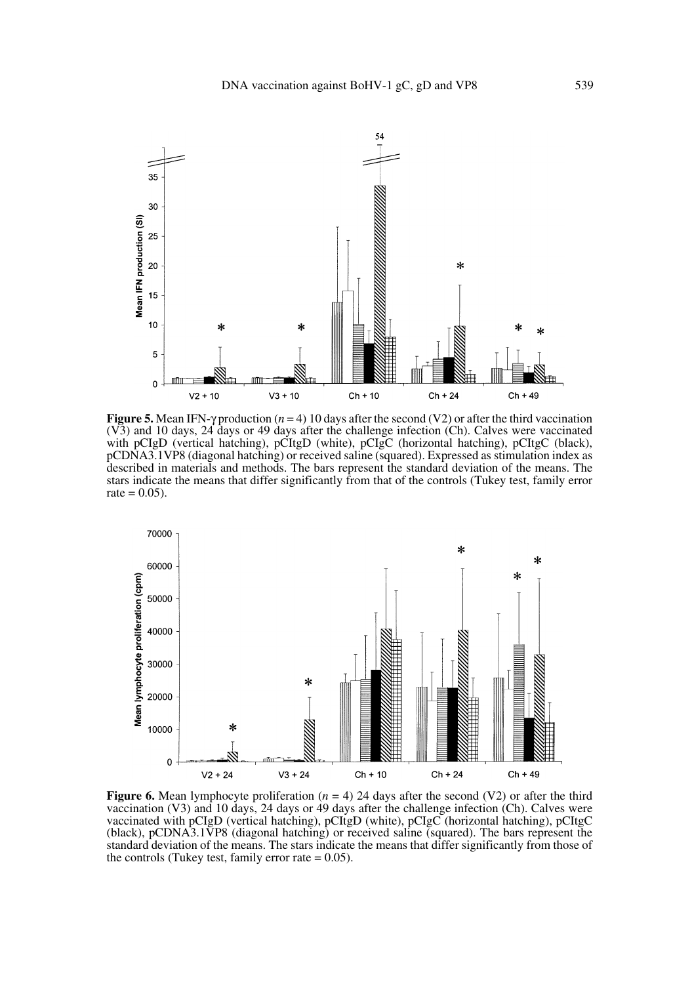

**Figure 5.** Mean IFN- $\gamma$  production ( $n = 4$ ) 10 days after the second (V2) or after the third vaccination (V3) and 10 days, 24 days or 49 days after the challenge infection (Ch). Calves were vaccinated with pCIgD (vertical hatching), pCItgD (white), pCIgC (horizontal hatching), pCItgC (black), pCDNA3.1VP8 (diagonal hatching) or received saline (squared). Expressed as stimulation index as described in materials and methods. The bars represent the standard deviation of the means. The stars indicate the means that differ significantly from that of the controls (Tukey test, family error  $rate = 0.05$ ).



**Figure 6.** Mean lymphocyte proliferation  $(n = 4)$  24 days after the second (V2) or after the third vaccination (V3) and 10 days, 24 days or 49 days after the challenge infection (Ch). Calves were vaccinated with pCIgD (vertical hatching), pCItgD (white), pCIgC (horizontal hatching), pCItgC (black), pCDNA3.1VP8 (diagonal hatching) or received saline (squared). The bars represent the standard deviation of the means. The stars indicate the means that differ significantly from those of the controls (Tukey test, family error rate  $= 0.05$ ).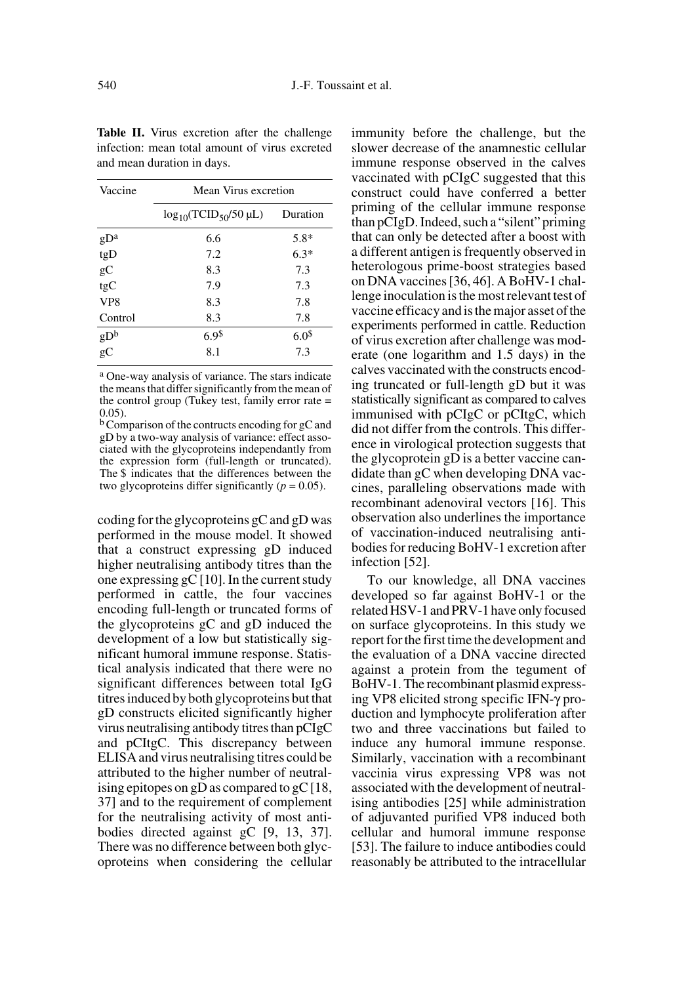| Vaccine                             | Mean Virus excretion            |                  |  |
|-------------------------------------|---------------------------------|------------------|--|
|                                     | $\log_{10}(TCID_{50}/50 \mu L)$ | Duration         |  |
| $gD^a$                              | 6.6                             | $5.8*$           |  |
| tgD                                 | 7.2                             | $6.3*$           |  |
| gC                                  | 8.3                             | 7.3              |  |
| tgC                                 | 7.9                             | 7.3              |  |
| VP <sub>8</sub>                     | 8.3                             | 7.8              |  |
| Control                             | 8.3                             | 7.8              |  |
| $\mathrm{g}\mathrm{D}^{\mathrm{b}}$ | 6.9 <sup>5</sup>                | 6.0 <sup>5</sup> |  |
| $\overline{g}C$                     | 8.1                             | 7.3              |  |

**Table II.** Virus excretion after the challenge infection: mean total amount of virus excreted and mean duration in days.

a One-way analysis of variance. The stars indicate the means that differ significantly from the mean of the control group (Tukey test, family error rate  $=$ 0.05).

b Comparison of the contructs encoding for gC and gD by a two-way analysis of variance: effect associated with the glycoproteins independantly from the expression form (full-length or truncated). The \$ indicates that the differences between the two glycoproteins differ significantly  $(p = 0.05)$ .

coding for the glycoproteins gC and gD was performed in the mouse model. It showed that a construct expressing gD induced higher neutralising antibody titres than the one expressing  $gC$  [10]. In the current study performed in cattle, the four vaccines encoding full-length or truncated forms of the glycoproteins gC and gD induced the development of a low but statistically significant humoral immune response. Statistical analysis indicated that there were no significant differences between total IgG titres induced by both glycoproteins but that gD constructs elicited significantly higher virus neutralising antibody titres than pCIgC and pCItgC. This discrepancy between ELISA and virus neutralising titres could be attributed to the higher number of neutralising epitopes on gD as compared to gC [18, 37] and to the requirement of complement for the neutralising activity of most antibodies directed against gC [9, 13, 37]. There was no difference between both glycoproteins when considering the cellular immunity before the challenge, but the slower decrease of the anamnestic cellular immune response observed in the calves vaccinated with pCIgC suggested that this construct could have conferred a better priming of the cellular immune response than pCIgD. Indeed, such a "silent" priming that can only be detected after a boost with a different antigen is frequently observed in heterologous prime-boost strategies based on DNA vaccines [36, 46]. A BoHV-1 challenge inoculation is the most relevant test of vaccine efficacy and is the major asset of the experiments performed in cattle. Reduction of virus excretion after challenge was moderate (one logarithm and 1.5 days) in the calves vaccinated with the constructs encoding truncated or full-length gD but it was statistically significant as compared to calves immunised with pCIgC or pCItgC, which did not differ from the controls. This difference in virological protection suggests that the glycoprotein gD is a better vaccine candidate than gC when developing DNA vaccines, paralleling observations made with recombinant adenoviral vectors [16]. This observation also underlines the importance of vaccination-induced neutralising antibodies for reducing BoHV-1 excretion after infection [52].

To our knowledge, all DNA vaccines developed so far against BoHV-1 or the related HSV-1 and PRV-1 have only focused on surface glycoproteins. In this study we report for the first time the development and the evaluation of a DNA vaccine directed against a protein from the tegument of BoHV-1. The recombinant plasmid expressing VP8 elicited strong specific IFN-γ production and lymphocyte proliferation after two and three vaccinations but failed to induce any humoral immune response. Similarly, vaccination with a recombinant vaccinia virus expressing VP8 was not associated with the development of neutralising antibodies [25] while administration of adjuvanted purified VP8 induced both cellular and humoral immune response [53]. The failure to induce antibodies could reasonably be attributed to the intracellular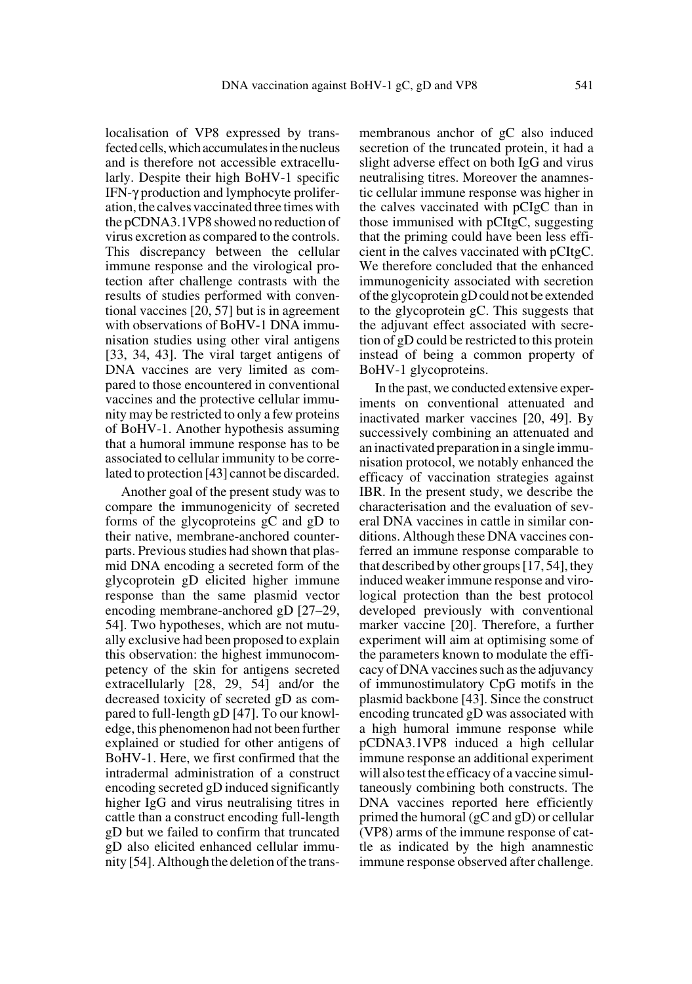localisation of VP8 expressed by transfected cells, which accumulates in the nucleus and is therefore not accessible extracellularly. Despite their high BoHV-1 specific IFN-γ production and lymphocyte proliferation, the calves vaccinated three times with the pCDNA3.1VP8 showed no reduction of virus excretion as compared to the controls. This discrepancy between the cellular immune response and the virological protection after challenge contrasts with the results of studies performed with conventional vaccines [20, 57] but is in agreement with observations of BoHV-1 DNA immunisation studies using other viral antigens [33, 34, 43]. The viral target antigens of DNA vaccines are very limited as compared to those encountered in conventional vaccines and the protective cellular immunity may be restricted to only a few proteins of BoHV-1. Another hypothesis assuming that a humoral immune response has to be associated to cellular immunity to be correlated to protection [43] cannot be discarded.

Another goal of the present study was to compare the immunogenicity of secreted forms of the glycoproteins gC and gD to their native, membrane-anchored counterparts. Previous studies had shown that plasmid DNA encoding a secreted form of the glycoprotein gD elicited higher immune response than the same plasmid vector encoding membrane-anchored gD [27–29, 54]. Two hypotheses, which are not mutually exclusive had been proposed to explain this observation: the highest immunocompetency of the skin for antigens secreted extracellularly [28, 29, 54] and/or the decreased toxicity of secreted gD as compared to full-length gD [47]. To our knowledge, this phenomenon had not been further explained or studied for other antigens of BoHV-1. Here, we first confirmed that the intradermal administration of a construct encoding secreted gD induced significantly higher IgG and virus neutralising titres in cattle than a construct encoding full-length gD but we failed to confirm that truncated gD also elicited enhanced cellular immunity [54]. Although the deletion of the transmembranous anchor of gC also induced secretion of the truncated protein, it had a slight adverse effect on both IgG and virus neutralising titres. Moreover the anamnestic cellular immune response was higher in the calves vaccinated with pCIgC than in those immunised with pCItgC, suggesting that the priming could have been less efficient in the calves vaccinated with pCItgC. We therefore concluded that the enhanced immunogenicity associated with secretion of the glycoprotein gD could not be extended to the glycoprotein gC. This suggests that the adjuvant effect associated with secretion of gD could be restricted to this protein instead of being a common property of BoHV-1 glycoproteins.

In the past, we conducted extensive experiments on conventional attenuated and inactivated marker vaccines [20, 49]. By successively combining an attenuated and an inactivated preparation in a single immunisation protocol, we notably enhanced the efficacy of vaccination strategies against IBR. In the present study, we describe the characterisation and the evaluation of several DNA vaccines in cattle in similar conditions. Although these DNA vaccines conferred an immune response comparable to that described by other groups [17, 54], they induced weaker immune response and virological protection than the best protocol developed previously with conventional marker vaccine [20]. Therefore, a further experiment will aim at optimising some of the parameters known to modulate the efficacy of DNA vaccines such as the adjuvancy of immunostimulatory CpG motifs in the plasmid backbone [43]. Since the construct encoding truncated gD was associated with a high humoral immune response while pCDNA3.1VP8 induced a high cellular immune response an additional experiment will also test the efficacy of a vaccine simultaneously combining both constructs. The DNA vaccines reported here efficiently primed the humoral (gC and gD) or cellular (VP8) arms of the immune response of cattle as indicated by the high anamnestic immune response observed after challenge.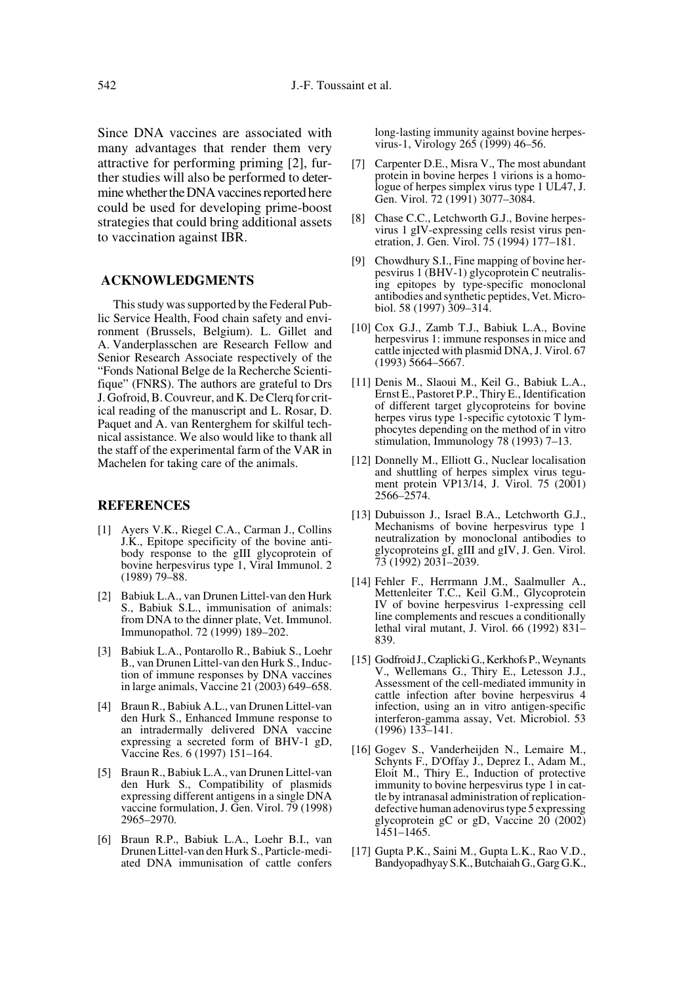Since DNA vaccines are associated with many advantages that render them very attractive for performing priming [2], further studies will also be performed to determine whether the DNA vaccines reported here could be used for developing prime-boost strategies that could bring additional assets to vaccination against IBR.

#### **ACKNOWLEDGMENTS**

This study was supported by the Federal Public Service Health, Food chain safety and environment (Brussels, Belgium). L. Gillet and A. Vanderplasschen are Research Fellow and Senior Research Associate respectively of the "Fonds National Belge de la Recherche Scientifique" (FNRS). The authors are grateful to Drs J. Gofroid, B. Couvreur, and K. De Clerq for critical reading of the manuscript and L. Rosar, D. Paquet and A. van Renterghem for skilful technical assistance. We also would like to thank all the staff of the experimental farm of the VAR in Machelen for taking care of the animals.

# **REFERENCES**

- [1] Ayers V.K., Riegel C.A., Carman J., Collins J.K., Epitope specificity of the bovine antibody response to the gIII glycoprotein of bovine herpesvirus type 1, Viral Immunol. 2 (1989) 79–88.
- [2] Babiuk L.A., van Drunen Littel-van den Hurk S., Babiuk S.L., immunisation of animals: from DNA to the dinner plate, Vet. Immunol. Immunopathol. 72 (1999) 189–202.
- [3] Babiuk L.A., Pontarollo R., Babiuk S., Loehr B., van Drunen Littel-van den Hurk S., Induction of immune responses by DNA vaccines in large animals, Vaccine 21 (2003) 649–658.
- [4] Braun R., Babiuk A.L., van Drunen Littel-van den Hurk S., Enhanced Immune response to an intradermally delivered DNA vaccine expressing a secreted form of BHV-1 gD, Vaccine Res. 6 (1997) 151–164.
- [5] Braun R., Babiuk L.A., van Drunen Littel-van den Hurk S., Compatibility of plasmids expressing different antigens in a single DNA vaccine formulation, J. Gen. Virol. 79 (1998) 2965–2970.
- [6] Braun R.P., Babiuk L.A., Loehr B.I., van Drunen Littel-van den Hurk S., Particle-mediated DNA immunisation of cattle confers

long-lasting immunity against bovine herpesvirus-1, Virology 265 (1999) 46–56.

- [7] Carpenter D.E., Misra V., The most abundant protein in bovine herpes 1 virions is a homologue of herpes simplex virus type 1 UL47, J. Gen. Virol. 72 (1991) 3077–3084.
- [8] Chase C.C., Letchworth G.J., Bovine herpesvirus 1 gIV-expressing cells resist virus penetration, J. Gen. Virol. 75 (1994) 177–181.
- [9] Chowdhury S.I., Fine mapping of bovine herpesvirus 1 (BHV-1) glycoprotein C neutralising epitopes by type-specific monoclonal antibodies and synthetic peptides, Vet. Microbiol. 58 (1997) 309–314.
- [10] Cox G.J., Zamb T.J., Babiuk L.A., Bovine herpesvirus 1: immune responses in mice and cattle injected with plasmid DNA, J. Virol. 67 (1993) 5664–5667.
- [11] Denis M., Slaoui M., Keil G., Babiuk L.A., Ernst E., Pastoret P.P., Thiry E., Identification of different target glycoproteins for bovine herpes virus type 1-specific cytotoxic T lymphocytes depending on the method of in vitro stimulation, Immunology 78 (1993) 7–13.
- [12] Donnelly M., Elliott G., Nuclear localisation and shuttling of herpes simplex virus tegument protein VP13/14, J. Virol. 75 (2001) 2566–2574.
- [13] Dubuisson J., Israel B.A., Letchworth G.J., Mechanisms of bovine herpesvirus type 1 neutralization by monoclonal antibodies to glycoproteins gI, gIII and gIV, J. Gen. Virol. 73 (1992) 2031–2039.
- [14] Fehler F., Herrmann J.M., Saalmuller A., Mettenleiter T.C., Keil G.M., Glycoprotein IV of bovine herpesvirus 1-expressing cell line complements and rescues a conditionally lethal viral mutant, J. Virol. 66 (1992) 831– 839.
- [15] Godfroid J., Czaplicki G., Kerkhofs P., Weynants V., Wellemans G., Thiry E., Letesson J.J., Assessment of the cell-mediated immunity in cattle infection after bovine herpesvirus 4 infection, using an in vitro antigen-specific interferon-gamma assay, Vet. Microbiol. 53 (1996) 133–141.
- [16] Gogev S., Vanderheijden N., Lemaire M., Schynts F., D'Offay J., Deprez I., Adam M., Eloit M., Thiry E., Induction of protective immunity to bovine herpesvirus type 1 in cattle by intranasal administration of replicationdefective human adenovirus type 5 expressing glycoprotein gC or gD, Vaccine 20 (2002) 1451–1465.
- [17] Gupta P.K., Saini M., Gupta L.K., Rao V.D., Bandyopadhyay S.K., Butchaiah G., Garg G.K.,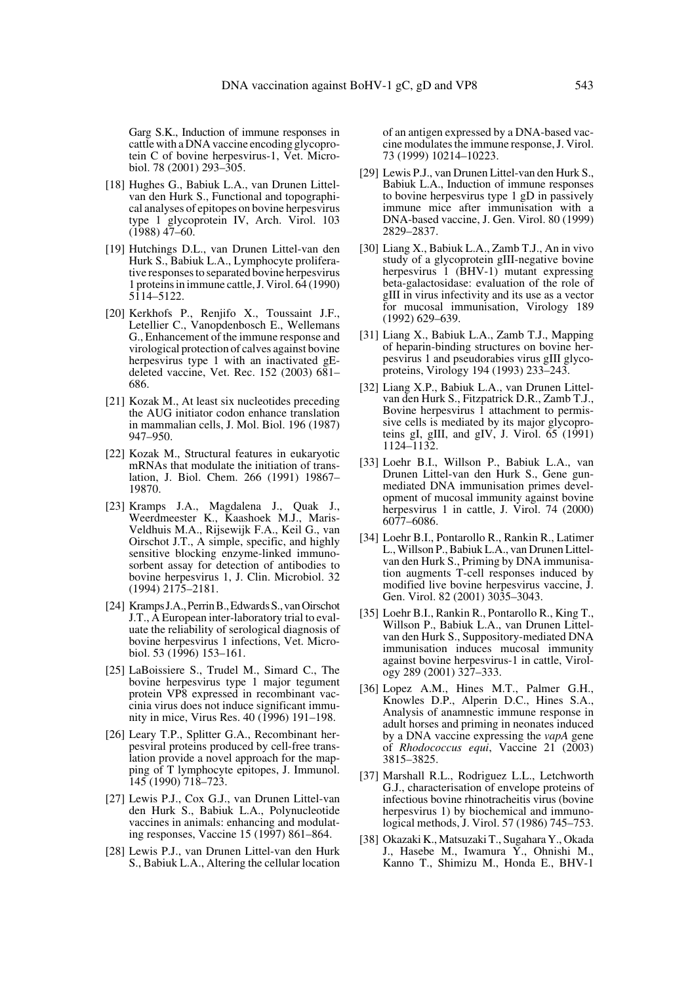Garg S.K., Induction of immune responses in cattle with a DNA vaccine encoding glycoprotein C of bovine herpesvirus-1, Vet. Microbiol. 78 (2001) 293–305.

- [18] Hughes G., Babiuk L.A., van Drunen Littelvan den Hurk S., Functional and topographical analyses of epitopes on bovine herpesvirus type 1 glycoprotein IV, Arch. Virol. 103  $(1988)$  47–60.
- [19] Hutchings D.L., van Drunen Littel-van den Hurk S., Babiuk L.A., Lymphocyte proliferative responses to separated bovine herpesvirus 1 proteins in immune cattle, J. Virol. 64 (1990) 5114–5122.
- [20] Kerkhofs P., Renjifo X., Toussaint J.F., Letellier C., Vanopdenbosch E., Wellemans G., Enhancement of the immune response and virological protection of calves against bovine herpesvirus type 1 with an inactivated gEdeleted vaccine, Vet. Rec. 152 (2003) 681– 686.
- [21] Kozak M., At least six nucleotides preceding the AUG initiator codon enhance translation in mammalian cells, J. Mol. Biol. 196 (1987) 947–950.
- [22] Kozak M., Structural features in eukaryotic mRNAs that modulate the initiation of translation, J. Biol. Chem. 266 (1991) 19867– 19870.
- [23] Kramps J.A., Magdalena J., Quak J., Weerdmeester K., Kaashoek M.J., Maris-Veldhuis M.A., Rijsewijk F.A., Keil G., van Oirschot J.T., A simple, specific, and highly sensitive blocking enzyme-linked immunosorbent assay for detection of antibodies to bovine herpesvirus 1, J. Clin. Microbiol. 32 (1994) 2175–2181.
- [24] Kramps J.A., Perrin B., Edwards S., van Oirschot J.T., A European inter-laboratory trial to evaluate the reliability of serological diagnosis of bovine herpesvirus 1 infections, Vet. Microbiol. 53 (1996) 153–161.
- [25] LaBoissiere S., Trudel M., Simard C., The bovine herpesvirus type 1 major tegument protein VP8 expressed in recombinant vaccinia virus does not induce significant immunity in mice, Virus Res. 40 (1996) 191–198.
- [26] Leary T.P., Splitter G.A., Recombinant herpesviral proteins produced by cell-free translation provide a novel approach for the mapping of T lymphocyte epitopes, J. Immunol. 145 (1990) 718–723.
- [27] Lewis P.J., Cox G.J., van Drunen Littel-van den Hurk S., Babiuk L.A., Polynucleotide vaccines in animals: enhancing and modulating responses, Vaccine 15 (1997) 861–864.
- [28] Lewis P.J., van Drunen Littel-van den Hurk S., Babiuk L.A., Altering the cellular location

of an antigen expressed by a DNA-based vaccine modulates the immune response, J. Virol. 73 (1999) 10214–10223.

- [29] Lewis P.J., van Drunen Littel-van den Hurk S., Babiuk L.A., Induction of immune responses to bovine herpesvirus type 1 gD in passively immune mice after immunisation with a DNA-based vaccine, J. Gen. Virol. 80 (1999) 2829–2837.
- [30] Liang X., Babiuk L.A., Zamb T.J., An in vivo study of a glycoprotein gIII-negative bovine herpesvirus 1 (BHV-1) mutant expressing beta-galactosidase: evaluation of the role of gIII in virus infectivity and its use as a vector for mucosal immunisation, Virology 189 (1992) 629–639.
- [31] Liang X., Babiuk L.A., Zamb T.J., Mapping of heparin-binding structures on bovine herpesvirus 1 and pseudorabies virus gIII glycoproteins, Virology 194 (1993) 233–243.
- [32] Liang X.P., Babiuk L.A., van Drunen Littelvan den Hurk S., Fitzpatrick D.R., Zamb T.J., Bovine herpesvirus 1 attachment to permissive cells is mediated by its major glycoproteins gI, gIII, and gIV, J. Virol.  $\overline{65}$  (1991) 1124–1132.
- [33] Loehr B.I., Willson P., Babiuk L.A., van Drunen Littel-van den Hurk S., Gene gunmediated DNA immunisation primes development of mucosal immunity against bovine herpesvirus 1 in cattle, J. Virol. 74 (2000) 6077–6086.
- [34] Loehr B.I., Pontarollo R., Rankin R., Latimer L., Willson P., Babiuk L.A., van Drunen Littelvan den Hurk S., Priming by DNA immunisation augments T-cell responses induced by modified live bovine herpesvirus vaccine, J. Gen. Virol. 82 (2001) 3035–3043.
- [35] Loehr B.I., Rankin R., Pontarollo R., King T., Willson P., Babiuk L.A., van Drunen Littelvan den Hurk S., Suppository-mediated DNA immunisation induces mucosal immunity against bovine herpesvirus-1 in cattle, Virology 289 (2001) 327–333.
- [36] Lopez A.M., Hines M.T., Palmer G.H., Knowles D.P., Alperin D.C., Hines S.A., Analysis of anamnestic immune response in adult horses and priming in neonates induced by a DNA vaccine expressing the *vapA* gene of *Rhodococcus equi*, Vaccine 21 (2003) 3815–3825.
- [37] Marshall R.L., Rodriguez L.L., Letchworth G.J., characterisation of envelope proteins of infectious bovine rhinotracheitis virus (bovine herpesvirus 1) by biochemical and immunological methods, J. Virol. 57 (1986) 745–753.
- [38] Okazaki K., Matsuzaki T., Sugahara Y., Okada J., Hasebe M., Iwamura Y., Ohnishi M., Kanno T., Shimizu M., Honda E., BHV-1